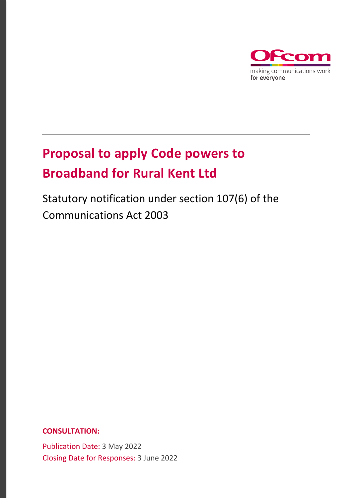

# **Proposal to apply Code powers to Broadband for Rural Kent Ltd**

# Statutory notification under section 107(6) of the Communications Act 2003

**CONSULTATION:**

Publication Date: 3 May 2022 Closing Date for Responses: 3 June 2022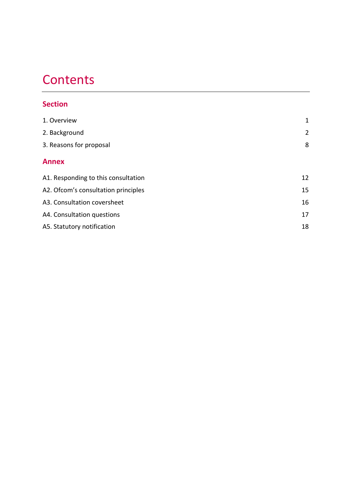# **Contents**

## **Section**

| 1. Overview                         | 1              |
|-------------------------------------|----------------|
| 2. Background                       | $\overline{2}$ |
| 3. Reasons for proposal             | 8              |
| <b>Annex</b>                        |                |
| A1. Responding to this consultation | 12             |
| A2. Ofcom's consultation principles | 15             |
| A3. Consultation coversheet         | 16             |
| A4. Consultation questions          | 17             |
| A5. Statutory notification          | 18             |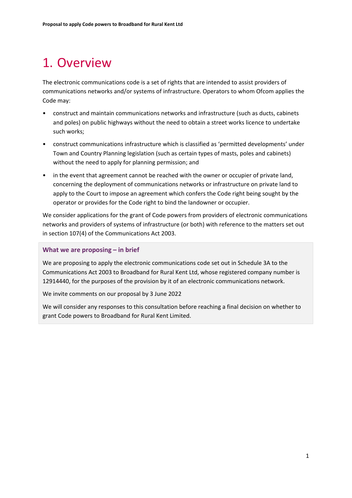## <span id="page-2-0"></span>1. Overview

The electronic communications code is a set of rights that are intended to assist providers of communications networks and/or systems of infrastructure. Operators to whom Ofcom applies the Code may:

- construct and maintain communications networks and infrastructure (such as ducts, cabinets and poles) on public highways without the need to obtain a street works licence to undertake such works;
- construct communications infrastructure which is classified as 'permitted developments' under Town and Country Planning legislation (such as certain types of masts, poles and cabinets) without the need to apply for planning permission; and
- in the event that agreement cannot be reached with the owner or occupier of private land, concerning the deployment of communications networks or infrastructure on private land to apply to the Court to impose an agreement which confers the Code right being sought by the operator or provides for the Code right to bind the landowner or occupier.

We consider applications for the grant of Code powers from providers of electronic communications networks and providers of systems of infrastructure (or both) with reference to the matters set out in section 107(4) of the Communications Act 2003.

#### **What we are proposing – in brief**

We are proposing to apply the electronic communications code set out in Schedule 3A to the Communications Act 2003 to Broadband for Rural Kent Ltd, whose registered company number is 12914440, for the purposes of the provision by it of an electronic communications network.

We invite comments on our proposal by 3 June 2022

We will consider any responses to this consultation before reaching a final decision on whether to grant Code powers to Broadband for Rural Kent Limited.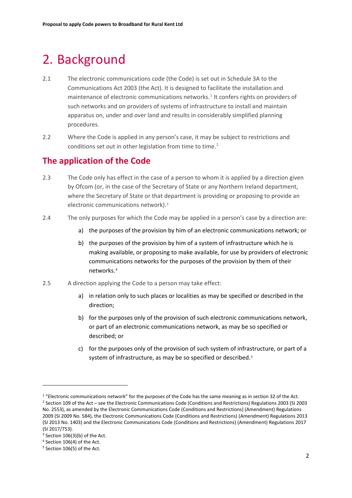## <span id="page-3-0"></span>2. Background

- 2.1 The electronic communications code (the Code) is set out in Schedule 3A to the Communications Act 2003 (the Act). It is designed to facilitate the installation and maintenance of electronic communications networks.<sup>[1](#page-3-1)</sup> It confers rights on providers of such networks and on providers of systems of infrastructure to install and maintain apparatus on, under and over land and results in considerably simplified planning procedures.
- 2.2 Where the Code is applied in any person's case, it may be subject to restrictions and conditions set out in other legislation from time to time.<sup>[2](#page-3-2)</sup>

## **The application of the Code**

- 2.3 The Code only has effect in the case of a person to whom it is applied by a direction given by Ofcom (or, in the case of the Secretary of State or any Northern Ireland department, where the Secretary of State or that department is providing or proposing to provide an electronic communications network).[3](#page-3-3)
- 2.4 The only purposes for which the Code may be applied in a person's case by a direction are:
	- a) the purposes of the provision by him of an electronic communications network; or
	- b) the purposes of the provision by him of a system of infrastructure which he is making available, or proposing to make available, for use by providers of electronic communications networks for the purposes of the provision by them of their networks.[4](#page-3-4)
- 2.5 A direction applying the Code to a person may take effect:
	- a) in relation only to such places or localities as may be specified or described in the direction;
	- b) for the purposes only of the provision of such electronic communications network, or part of an electronic communications network, as may be so specified or described; or
	- c) for the purposes only of the provision of such system of infrastructure, or part of a system of infrastructure, as may be so specified or described.<sup>[5](#page-3-5)</sup>

<span id="page-3-2"></span><span id="page-3-1"></span> $1$  "Electronic communications network" for the purposes of the Code has the same meaning as in section 32 of the Act. <sup>2</sup> Section 109 of the Act – see the Electronic Communications Code (Conditions and Restrictions) Regulations 2003 (SI 2003 No. 2553), as amended by the Electronic Communications Code (Conditions and Restrictions) (Amendment) Regulations 2009 (SI 2009 No. 584), the Electronic Communications Code (Conditions and Restrictions) (Amendment) Regulations 2013 (SI 2013 No. 1403) and the Electronic Communications Code (Conditions and Restrictions) (Amendment) Regulations 2017 (SI 2017/753).

<span id="page-3-3"></span> $3$  Section 106(3)(b) of the Act.

<span id="page-3-4"></span><sup>4</sup> Section 106(4) of the Act.

<span id="page-3-5"></span><sup>5</sup> Section 106(5) of the Act.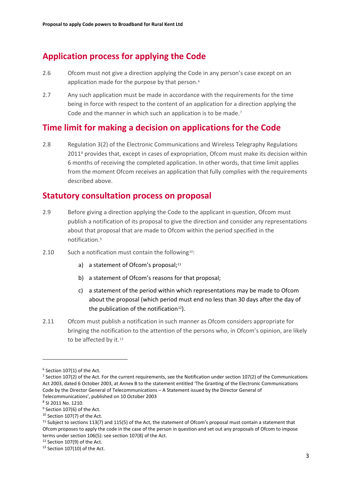## **Application process for applying the Code**

- 2.6 Ofcom must not give a direction applying the Code in any person's case except on an application made for the purpose by that person.<sup>[6](#page-4-0)</sup>
- 2.7 Any such application must be made in accordance with the requirements for the time being in force with respect to the content of an application for a direction applying the Code and the manner in which such an application is to be made.<sup>[7](#page-4-1)</sup>

## **Time limit for making a decision on applications for the Code**

2.8 Regulation 3(2) of the Electronic Communications and Wireless Telegraphy Regulations 2011<sup>[8](#page-4-2)</sup> provides that, except in cases of expropriation, Ofcom must make its decision within 6 months of receiving the completed application. In other words, that time limit applies from the moment Ofcom receives an application that fully complies with the requirements described above.

### **Statutory consultation process on proposal**

- 2.9 Before giving a direction applying the Code to the applicant in question, Ofcom must publish a notification of its proposal to give the direction and consider any representations about that proposal that are made to Ofcom within the period specified in the notification<sup>[9](#page-4-3)</sup>
- 2.[10](#page-4-4) Such a notification must contain the following<sup>10</sup>:
	- a) a statement of Ofcom's proposal; $11$
	- b) a statement of Ofcom's reasons for that proposal;
	- c) a statement of the period within which representations may be made to Ofcom about the proposal (which period must end no less than 30 days after the day of the publication of the notification<sup>12</sup>).
- 2.11 Ofcom must publish a notification in such manner as Ofcom considers appropriate for bringing the notification to the attention of the persons who, in Ofcom's opinion, are likely to be affected by it.<sup>[13](#page-4-7)</sup>

<span id="page-4-0"></span> $6$  Section 107(1) of the Act.

<span id="page-4-1"></span> $7$  Section 107(2) of the Act. For the current requirements, see the Notification under section 107(2) of the Communications Act 2003, dated 6 October 2003, at Annex B to the statement entitled 'The Granting of the Electronic Communications Code by the Director General of Telecommunications – A Statement issued by the Director General of Telecommunications', published on 10 October 2003

<span id="page-4-2"></span><sup>8</sup> SI 2011 No. 1210.

<span id="page-4-3"></span><sup>&</sup>lt;sup>9</sup> Section 107(6) of the Act.

<span id="page-4-4"></span><sup>&</sup>lt;sup>10</sup> Section 107(7) of the Act.

<span id="page-4-5"></span> $11$  Subject to sections 113(7) and 115(5) of the Act, the statement of Ofcom's proposal must contain a statement that Ofcom proposes to apply the code in the case of the person in question and set out any proposals of Ofcom to impose terms under section 106(5): see section 107(8) of the Act.

<span id="page-4-6"></span><sup>12</sup> Section 107(9) of the Act.

<span id="page-4-7"></span> $13$  Section 107(10) of the Act.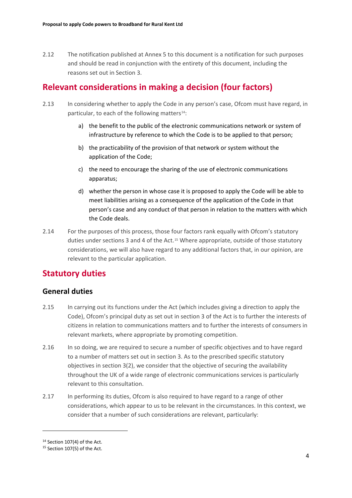2.12 The notification published at Annex 5 to this document is a notification for such purposes and should be read in conjunction with the entirety of this document, including the reasons set out in Section 3.

## **Relevant considerations in making a decision (four factors)**

- 2.13 In considering whether to apply the Code in any person's case, Ofcom must have regard, in particular, to each of the following matters<sup>[14](#page-5-0)</sup>:
	- a) the benefit to the public of the electronic communications network or system of infrastructure by reference to which the Code is to be applied to that person;
	- b) the practicability of the provision of that network or system without the application of the Code;
	- c) the need to encourage the sharing of the use of electronic communications apparatus;
	- d) whether the person in whose case it is proposed to apply the Code will be able to meet liabilities arising as a consequence of the application of the Code in that person's case and any conduct of that person in relation to the matters with which the Code deals.
- 2.14 For the purposes of this process, those four factors rank equally with Ofcom's statutory duties under sections 3 and 4 of the Act.<sup>[15](#page-5-1)</sup> Where appropriate, outside of those statutory considerations, we will also have regard to any additional factors that, in our opinion, are relevant to the particular application.

## **Statutory duties**

### **General duties**

- 2.15 In carrying out its functions under the Act (which includes giving a direction to apply the Code), Ofcom's principal duty as set out in section 3 of the Act is to further the interests of citizens in relation to communications matters and to further the interests of consumers in relevant markets, where appropriate by promoting competition.
- 2.16 In so doing, we are required to secure a number of specific objectives and to have regard to a number of matters set out in section 3. As to the prescribed specific statutory objectives in section 3(2), we consider that the objective of securing the availability throughout the UK of a wide range of electronic communications services is particularly relevant to this consultation.
- 2.17 In performing its duties, Ofcom is also required to have regard to a range of other considerations, which appear to us to be relevant in the circumstances. In this context, we consider that a number of such considerations are relevant, particularly:

<span id="page-5-0"></span> $14$  Section 107(4) of the Act.

<span id="page-5-1"></span><sup>&</sup>lt;sup>15</sup> Section 107(5) of the Act.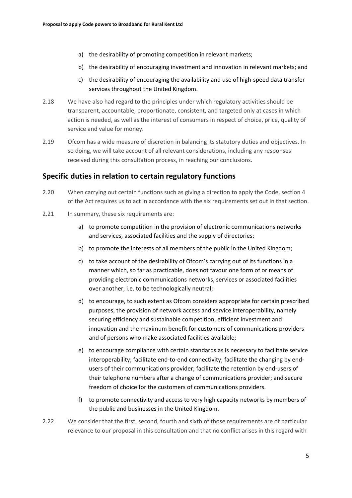- a) the desirability of promoting competition in relevant markets;
- b) the desirability of encouraging investment and innovation in relevant markets; and
- c) the desirability of encouraging the availability and use of high-speed data transfer services throughout the United Kingdom.
- 2.18 We have also had regard to the principles under which regulatory activities should be transparent, accountable, proportionate, consistent, and targeted only at cases in which action is needed, as well as the interest of consumers in respect of choice, price, quality of service and value for money.
- 2.19 Ofcom has a wide measure of discretion in balancing its statutory duties and objectives. In so doing, we will take account of all relevant considerations, including any responses received during this consultation process, in reaching our conclusions.

### **Specific duties in relation to certain regulatory functions**

- 2.20 When carrying out certain functions such as giving a direction to apply the Code, section 4 of the Act requires us to act in accordance with the six requirements set out in that section.
- 2.21 In summary, these six requirements are:
	- a) to promote competition in the provision of electronic communications networks and services, associated facilities and the supply of directories;
	- b) to promote the interests of all members of the public in the United Kingdom;
	- c) to take account of the desirability of Ofcom's carrying out of its functions in a manner which, so far as practicable, does not favour one form of or means of providing electronic communications networks, services or associated facilities over another, i.e. to be technologically neutral;
	- d) to encourage, to such extent as Ofcom considers appropriate for certain prescribed purposes, the provision of network access and service interoperability, namely securing efficiency and sustainable competition, efficient investment and innovation and the maximum benefit for customers of communications providers and of persons who make associated facilities available;
	- e) to encourage compliance with certain standards as is necessary to facilitate service interoperability; facilitate end-to-end connectivity; facilitate the changing by endusers of their communications provider; facilitate the retention by end-users of their telephone numbers after a change of communications provider; and secure freedom of choice for the customers of communications providers.
	- f) to promote connectivity and access to very high capacity networks by members of the public and businesses in the United Kingdom.
- 2.22 We consider that the first, second, fourth and sixth of those requirements are of particular relevance to our proposal in this consultation and that no conflict arises in this regard with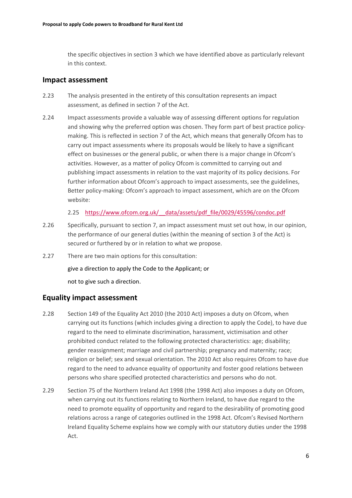the specific objectives in section 3 which we have identified above as particularly relevant in this context.

### **Impact assessment**

- 2.23 The analysis presented in the entirety of this consultation represents an impact assessment, as defined in section 7 of the Act.
- 2.24 Impact assessments provide a valuable way of assessing different options for regulation and showing why the preferred option was chosen. They form part of best practice policymaking. This is reflected in section 7 of the Act, which means that generally Ofcom has to carry out impact assessments where its proposals would be likely to have a significant effect on businesses or the general public, or when there is a major change in Ofcom's activities. However, as a matter of policy Ofcom is committed to carrying out and publishing impact assessments in relation to the vast majority of its policy decisions. For further information about Ofcom's approach to impact assessments, see the guidelines, Better policy-making: Ofcom's approach to impact assessment, which are on the Ofcom website:

2.25 [https://www.ofcom.org.uk/\\_\\_data/assets/pdf\\_file/0029/45596/condoc.pdf](https://www.ofcom.org.uk/__data/assets/pdf_file/0029/45596/condoc.pdf)

- 2.26 Specifically, pursuant to section 7, an impact assessment must set out how, in our opinion, the performance of our general duties (within the meaning of section 3 of the Act) is secured or furthered by or in relation to what we propose.
- 2.27 There are two main options for this consultation:

give a direction to apply the Code to the Applicant; or

not to give such a direction.

### **Equality impact assessment**

- 2.28 Section 149 of the Equality Act 2010 (the 2010 Act) imposes a duty on Ofcom, when carrying out its functions (which includes giving a direction to apply the Code), to have due regard to the need to eliminate discrimination, harassment, victimisation and other prohibited conduct related to the following protected characteristics: age; disability; gender reassignment; marriage and civil partnership; pregnancy and maternity; race; religion or belief; sex and sexual orientation. The 2010 Act also requires Ofcom to have due regard to the need to advance equality of opportunity and foster good relations between persons who share specified protected characteristics and persons who do not.
- 2.29 Section 75 of the Northern Ireland Act 1998 (the 1998 Act) also imposes a duty on Ofcom, when carrying out its functions relating to Northern Ireland, to have due regard to the need to promote equality of opportunity and regard to the desirability of promoting good relations across a range of categories outlined in the 1998 Act. Ofcom's Revised Northern Ireland Equality Scheme explains how we comply with our statutory duties under the 1998 Act.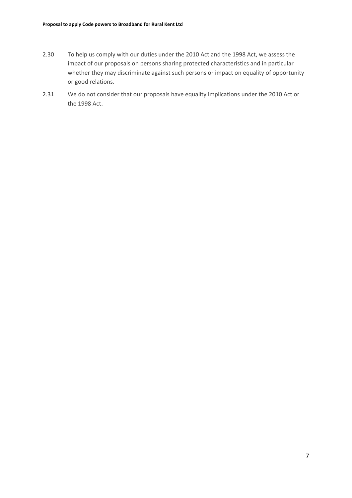- 2.30 To help us comply with our duties under the 2010 Act and the 1998 Act, we assess the impact of our proposals on persons sharing protected characteristics and in particular whether they may discriminate against such persons or impact on equality of opportunity or good relations.
- 2.31 We do not consider that our proposals have equality implications under the 2010 Act or the 1998 Act.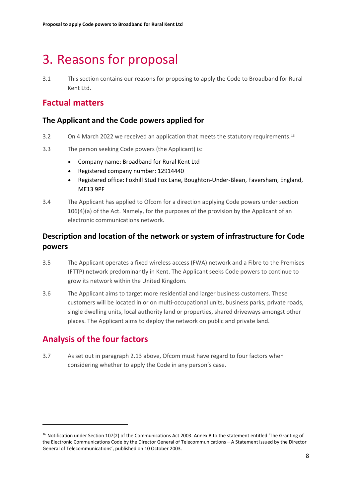## <span id="page-9-0"></span>3. Reasons for proposal

3.1 This section contains our reasons for proposing to apply the Code to Broadband for Rural Kent Ltd.

## **Factual matters**

### **The Applicant and the Code powers applied for**

- 3.2 On 4 March 2022 we received an application that meets the statutory requirements.<sup>[16](#page-9-1)</sup>
- 3.3 The person seeking Code powers (the Applicant) is:
	- Company name: Broadband for Rural Kent Ltd
	- Registered company number: 12914440
	- Registered office: Foxhill Stud Fox Lane, Boughton-Under-Blean, Faversham, England, ME13 9PF
- 3.4 The Applicant has applied to Ofcom for a direction applying Code powers under section 106(4)(a) of the Act. Namely, for the purposes of the provision by the Applicant of an electronic communications network.

### **Description and location of the network or system of infrastructure for Code powers**

- 3.5 The Applicant operates a fixed wireless access (FWA) network and a Fibre to the Premises (FTTP) network predominantly in Kent. The Applicant seeks Code powers to continue to grow its network within the United Kingdom.
- 3.6 The Applicant aims to target more residential and larger business customers. These customers will be located in or on multi-occupational units, business parks, private roads, single dwelling units, local authority land or properties, shared driveways amongst other places. The Applicant aims to deploy the network on public and private land.

## **Analysis of the four factors**

3.7 As set out in paragraph 2.13 above, Ofcom must have regard to four factors when considering whether to apply the Code in any person's case.

<span id="page-9-1"></span><sup>&</sup>lt;sup>16</sup> Notification under Section 107(2) of the Communications Act 2003. Annex B to the statement entitled 'The Granting of the Electronic Communications Code by the Director General of Telecommunications – A Statement issued by the Director General of Telecommunications', published on 10 October 2003.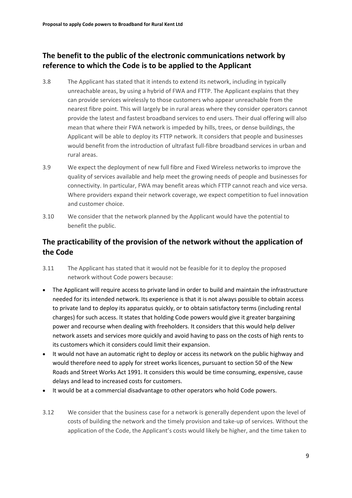### **The benefit to the public of the electronic communications network by reference to which the Code is to be applied to the Applicant**

- 3.8 The Applicant has stated that it intends to extend its network, including in typically unreachable areas, by using a hybrid of FWA and FTTP. The Applicant explains that they can provide services wirelessly to those customers who appear unreachable from the nearest fibre point. This will largely be in rural areas where they consider operators cannot provide the latest and fastest broadband services to end users. Their dual offering will also mean that where their FWA network is impeded by hills, trees, or dense buildings, the Applicant will be able to deploy its FTTP network. It considers that people and businesses would benefit from the introduction of ultrafast full-fibre broadband services in urban and rural areas.
- 3.9 We expect the deployment of new full fibre and Fixed Wireless networks to improve the quality of services available and help meet the growing needs of people and businesses for connectivity. In particular, FWA may benefit areas which FTTP cannot reach and vice versa. Where providers expand their network coverage, we expect competition to fuel innovation and customer choice.
- 3.10 We consider that the network planned by the Applicant would have the potential to benefit the public.

### **The practicability of the provision of the network without the application of the Code**

- 3.11 The Applicant has stated that it would not be feasible for it to deploy the proposed network without Code powers because:
- The Applicant will require access to private land in order to build and maintain the infrastructure needed for its intended network. Its experience is that it is not always possible to obtain access to private land to deploy its apparatus quickly, or to obtain satisfactory terms (including rental charges) for such access. It states that holding Code powers would give it greater bargaining power and recourse when dealing with freeholders. It considers that this would help deliver network assets and services more quickly and avoid having to pass on the costs of high rents to its customers which it considers could limit their expansion.
- It would not have an automatic right to deploy or access its network on the public highway and would therefore need to apply for street works licences, pursuant to section 50 of the New Roads and Street Works Act 1991. It considers this would be time consuming, expensive, cause delays and lead to increased costs for customers.
- It would be at a commercial disadvantage to other operators who hold Code powers.
- 3.12 We consider that the business case for a network is generally dependent upon the level of costs of building the network and the timely provision and take-up of services. Without the application of the Code, the Applicant's costs would likely be higher, and the time taken to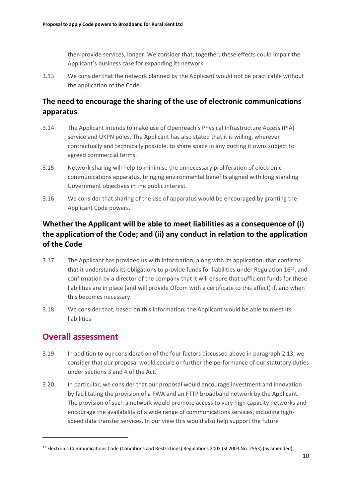then provide services, longer. We consider that, together, these effects could impair the Applicant's business case for expanding its network.

3.13 We consider that the network planned by the Applicant would not be practicable without the application of the Code.

### **The need to encourage the sharing of the use of electronic communications apparatus**

- 3.14 The Applicant intends to make use of Openreach's Physical Infrastructure Access (PIA) service and UKPN poles. The Applicant has also stated that it is willing, wherever contractually and technically possible, to share space in any ducting it owns subject to agreed commercial terms.
- 3.15 Network sharing will help to minimise the unnecessary proliferation of electronic communications apparatus, bringing environmental benefits aligned with long standing Government objectives in the public interest.
- 3.16 We consider that sharing of the use of apparatus would be encouraged by granting the Applicant Code powers.

## **Whether the Applicant will be able to meet liabilities as a consequence of (i) the application of the Code; and (ii) any conduct in relation to the application of the Code**

- 3.17 The Applicant has provided us with information, along with its application, that confirms that it understands its obligations to provide funds for liabilities under Regulation 16[17](#page-11-0), and confirmation by a director of the company that it will ensure that sufficient funds for these liabilities are in place (and will provide Ofcom with a certificate to this effect) if, and when this becomes necessary.
- 3.18 We consider that, based on this information, the Applicant would be able to meet its liabilities.

## **Overall assessment**

- 3.19 In addition to our consideration of the four factors discussed above in paragraph 2.13, we consider that our proposal would secure or further the performance of our statutory duties under sections 3 and 4 of the Act.
- 3.20 In particular, we consider that our proposal would encourage investment and innovation by facilitating the provision of a FWA and an FTTP broadband network by the Applicant. The provision of such a network would promote access to very high capacity networks and encourage the availability of a wide range of communications services, including highspeed data transfer services. In our view this would also help support the future

<span id="page-11-0"></span><sup>&</sup>lt;sup>17</sup> Electronic Communications Code (Conditions and Restrictions) Regulations 2003 (SI 2003 No. 2553) (as amended).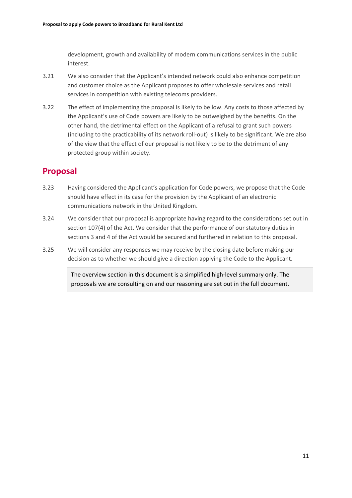development, growth and availability of modern communications services in the public interest.

- 3.21 We also consider that the Applicant's intended network could also enhance competition and customer choice as the Applicant proposes to offer wholesale services and retail services in competition with existing telecoms providers.
- 3.22 The effect of implementing the proposal is likely to be low. Any costs to those affected by the Applicant's use of Code powers are likely to be outweighed by the benefits. On the other hand, the detrimental effect on the Applicant of a refusal to grant such powers (including to the practicability of its network roll-out) is likely to be significant. We are also of the view that the effect of our proposal is not likely to be to the detriment of any protected group within society.

## **Proposal**

- 3.23 Having considered the Applicant's application for Code powers, we propose that the Code should have effect in its case for the provision by the Applicant of an electronic communications network in the United Kingdom.
- 3.24 We consider that our proposal is appropriate having regard to the considerations set out in section 107(4) of the Act. We consider that the performance of our statutory duties in sections 3 and 4 of the Act would be secured and furthered in relation to this proposal.
- 3.25 We will consider any responses we may receive by the closing date before making our decision as to whether we should give a direction applying the Code to the Applicant.

The overview section in this document is a simplified high-level summary only. The proposals we are consulting on and our reasoning are set out in the full document.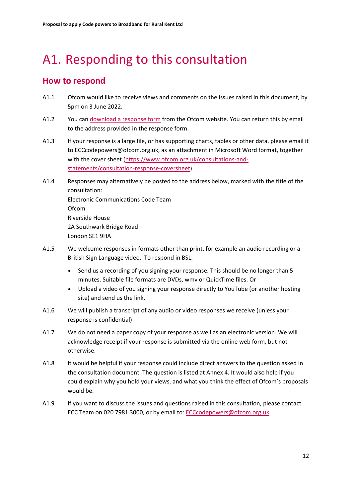# <span id="page-13-0"></span>A1. Responding to this consultation

## **How to respond**

- A1.1 Ofcom would like to receive views and comments on the issues raised in this document, by 5pm on 3 June 2022.
- A1.2 You can [download a response form](https://www.ofcom.org.uk/consultations-and-statements/category-3/code-powers-broadband-for-rural-kent-ltd) from the Ofcom website. You can return this by email to the address provided in the response form.
- A1.3 If your response is a large file, or has supporting charts, tables or other data, please email it to ECCcodepowers@ofcom.org.uk, as an attachment in Microsoft Word format, together with the cover sheet [\(https://www.ofcom.org.uk/consultations-and](https://www.ofcom.org.uk/consultations-and-statements/consultation-response-coversheet)[statements/consultation-response-coversheet\)](https://www.ofcom.org.uk/consultations-and-statements/consultation-response-coversheet).
- A1.4 Responses may alternatively be posted to the address below, marked with the title of the consultation: Electronic Communications Code Team Ofcom Riverside House 2A Southwark Bridge Road London SE1 9HA
- A1.5 We welcome responses in formats other than print, for example an audio recording or a British Sign Language video. To respond in BSL:
	- Send us a recording of you signing your response. This should be no longer than 5 minutes. Suitable file formats are DVDs, wmv or QuickTime files. Or
	- Upload a video of you signing your response directly to YouTube (or another hosting site) and send us the link.
- A1.6 We will publish a transcript of any audio or video responses we receive (unless your response is confidential)
- A1.7 We do not need a paper copy of your response as well as an electronic version. We will acknowledge receipt if your response is submitted via the online web form, but not otherwise.
- A1.8 It would be helpful if your response could include direct answers to the question asked in the consultation document. The question is listed at Annex 4. It would also help if you could explain why you hold your views, and what you think the effect of Ofcom's proposals would be.
- A1.9 If you want to discuss the issues and questions raised in this consultation, please contact ECC Team on 020 7981 3000, or by email to: [ECCcodepowers@ofcom.org.uk](mailto:ECCCodepowers@ofcom.org.uk)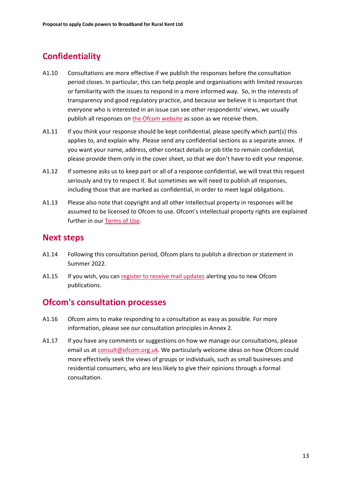## **Confidentiality**

- A1.10 Consultations are more effective if we publish the responses before the consultation period closes. In particular, this can help people and organisations with limited resources or familiarity with the issues to respond in a more informed way. So, in the interests of transparency and good regulatory practice, and because we believe it is important that everyone who is interested in an issue can see other respondents' views, we usually publish all responses on [the Ofcom website](http://www.ofcom.org.uk/) as soon as we receive them.
- A1.11 If you think your response should be kept confidential, please specify which part(s) this applies to, and explain why. Please send any confidential sections as a separate annex. If you want your name, address, other contact details or job title to remain confidential, please provide them only in the cover sheet, so that we don't have to edit your response.
- A1.12 If someone asks us to keep part or all of a response confidential, we will treat this request seriously and try to respect it. But sometimes we will need to publish all responses, including those that are marked as confidential, in order to meet legal obligations.
- A1.13 Please also note that copyright and all other intellectual property in responses will be assumed to be licensed to Ofcom to use. Ofcom's intellectual property rights are explained further in our [Terms of Use.](https://www.ofcom.org.uk/about-ofcom/website/terms-of-use)

### **Next steps**

- A1.14 Following this consultation period, Ofcom plans to publish a direction or statement in Summer 2022.
- A1.15 If you wish, you can register to [receive mail updates](https://www.ofcom.org.uk/about-ofcom/latest/email-updates) alerting you to new Ofcom publications.

### **Ofcom's consultation processes**

- A1.16 Ofcom aims to make responding to a consultation as easy as possible. For more information, please see our consultation principles in Annex 2.
- A1.17 If you have any comments or suggestions on how we manage our consultations, please email us a[t consult@ofcom.org.uk.](mailto:consult@ofcom.org.uk) We particularly welcome ideas on how Ofcom could more effectively seek the views of groups or individuals, such as small businesses and residential consumers, who are less likely to give their opinions through a formal consultation.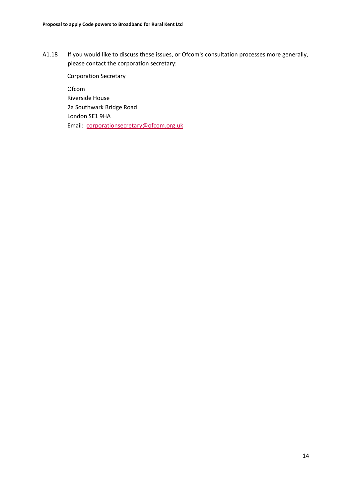A1.18 If you would like to discuss these issues, or Ofcom's consultation processes more generally, please contact the corporation secretary:

Corporation Secretary Ofcom Riverside House 2a Southwark Bridge Road London SE1 9HA Email: [corporationsecretary@ofcom.org.uk](mailto:corporationsecretary@ofcom.org.uk)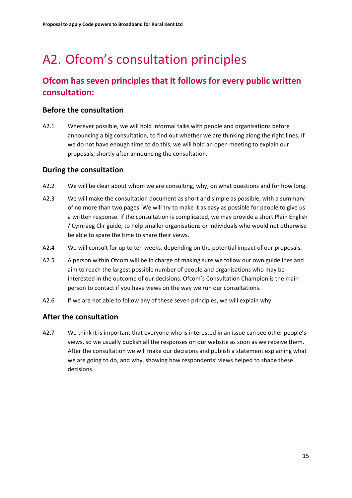# <span id="page-16-0"></span>A2. Ofcom's consultation principles

## **Ofcom has seven principles that it follows for every public written consultation:**

### **Before the consultation**

A2.1 Wherever possible, we will hold informal talks with people and organisations before announcing a big consultation, to find out whether we are thinking along the right lines. If we do not have enough time to do this, we will hold an open meeting to explain our proposals, shortly after announcing the consultation.

### **During the consultation**

- A2.2 We will be clear about whom we are consulting, why, on what questions and for how long.
- A2.3 We will make the consultation document as short and simple as possible, with a summary of no more than two pages. We will try to make it as easy as possible for people to give us a written response. If the consultation is complicated, we may provide a short Plain English / Cymraeg Clir guide, to help smaller organisations or individuals who would not otherwise be able to spare the time to share their views.
- A2.4 We will consult for up to ten weeks, depending on the potential impact of our proposals.
- A2.5 A person within Ofcom will be in charge of making sure we follow our own guidelines and aim to reach the largest possible number of people and organisations who may be interested in the outcome of our decisions. Ofcom's Consultation Champion is the main person to contact if you have views on the way we run our consultations.
- A2.6 If we are not able to follow any of these seven principles, we will explain why.

### **After the consultation**

A2.7 We think it is important that everyone who is interested in an issue can see other people's views, so we usually publish all the responses on our website as soon as we receive them. After the consultation we will make our decisions and publish a statement explaining what we are going to do, and why, showing how respondents' views helped to shape these decisions.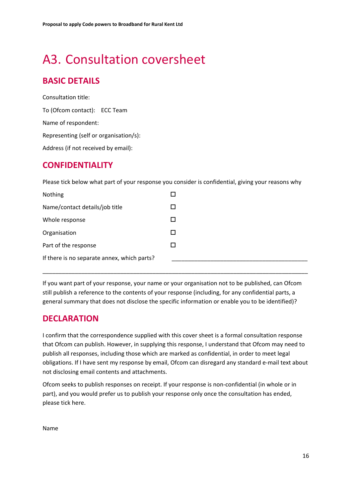# <span id="page-17-0"></span>A3. Consultation coversheet

## **BASIC DETAILS**

Consultation title: To (Ofcom contact): ECC Team Name of respondent: Representing (self or organisation/s): Address (if not received by email):

## **CONFIDENTIALITY**

Please tick below what part of your response you consider is confidential, giving your reasons why

| Nothing                                     |  |
|---------------------------------------------|--|
| Name/contact details/job title              |  |
| Whole response                              |  |
| Organisation                                |  |
| Part of the response                        |  |
| If there is no separate annex, which parts? |  |

If you want part of your response, your name or your organisation not to be published, can Ofcom still publish a reference to the contents of your response (including, for any confidential parts, a general summary that does not disclose the specific information or enable you to be identified)?

\_\_\_\_\_\_\_\_\_\_\_\_\_\_\_\_\_\_\_\_\_\_\_\_\_\_\_\_\_\_\_\_\_\_\_\_\_\_\_\_\_\_\_\_\_\_\_\_\_\_\_\_\_\_\_\_\_\_\_\_\_\_\_\_\_\_\_\_\_\_\_\_\_\_\_\_\_\_\_\_\_\_

## **DECLARATION**

I confirm that the correspondence supplied with this cover sheet is a formal consultation response that Ofcom can publish. However, in supplying this response, I understand that Ofcom may need to publish all responses, including those which are marked as confidential, in order to meet legal obligations. If I have sent my response by email, Ofcom can disregard any standard e-mail text about not disclosing email contents and attachments.

Ofcom seeks to publish responses on receipt. If your response is non-confidential (in whole or in part), and you would prefer us to publish your response only once the consultation has ended, please tick here.

Name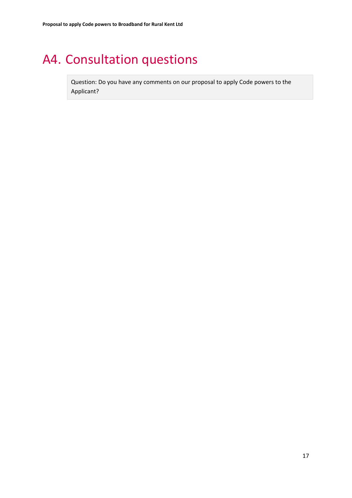# <span id="page-18-0"></span>A4. Consultation questions

Question: Do you have any comments on our proposal to apply Code powers to the Applicant?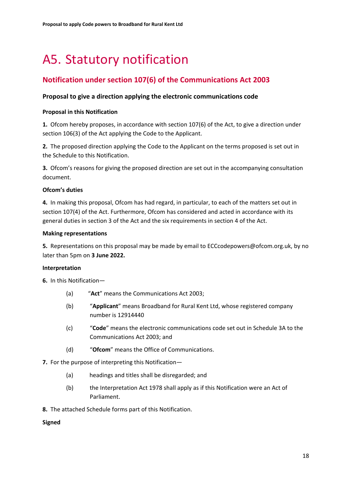# <span id="page-19-0"></span>A5. Statutory notification

### **Notification under section 107(6) of the Communications Act 2003**

### **Proposal to give a direction applying the electronic communications code**

#### **Proposal in this Notification**

**1.** Ofcom hereby proposes, in accordance with section 107(6) of the Act, to give a direction under section 106(3) of the Act applying the Code to the Applicant.

**2.** The proposed direction applying the Code to the Applicant on the terms proposed is set out in the Schedule to this Notification.

**3.** Ofcom's reasons for giving the proposed direction are set out in the accompanying consultation document.

#### **Ofcom's duties**

**4.** In making this proposal, Ofcom has had regard, in particular, to each of the matters set out in section 107(4) of the Act. Furthermore, Ofcom has considered and acted in accordance with its general duties in section 3 of the Act and the six requirements in section 4 of the Act.

#### **Making representations**

**5.** Representations on this proposal may be made by email to ECCcodepowers@ofcom.org.uk, by no later than 5pm on **3 June 2022.**

### **Interpretation**

**6.** In this Notification—

- (a) "**Act**" means the Communications Act 2003;
- (b) "**Applicant**" means Broadband for Rural Kent Ltd, whose registered company number is 12914440
- (c) "**Code**" means the electronic communications code set out in Schedule 3A to the Communications Act 2003; and
- (d) "**Ofcom**" means the Office of Communications.
- **7.** For the purpose of interpreting this Notification—
	- (a) headings and titles shall be disregarded; and
	- (b) the Interpretation Act 1978 shall apply as if this Notification were an Act of Parliament.
- **8.** The attached Schedule forms part of this Notification.

### **Signed**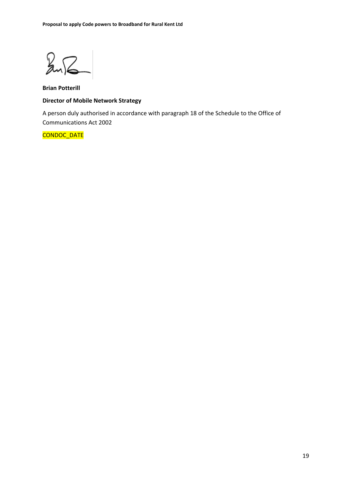$247$ 

**Brian Potterill Director of Mobile Network Strategy**

A person duly authorised in accordance with paragraph 18 of the Schedule to the Office of Communications Act 2002

#### CONDOC\_DATE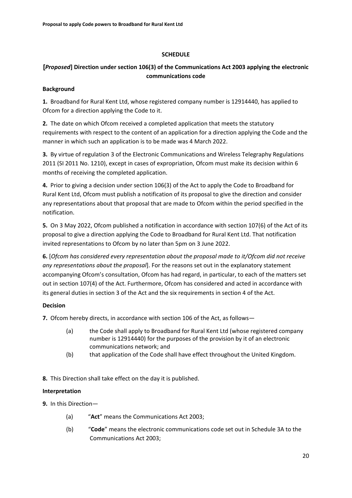#### **SCHEDULE**

### **[***Proposed***] Direction under section 106(3) of the Communications Act 2003 applying the electronic communications code**

#### **Background**

**1.** Broadband for Rural Kent Ltd, whose registered company number is 12914440, has applied to Ofcom for a direction applying the Code to it.

**2.** The date on which Ofcom received a completed application that meets the statutory requirements with respect to the content of an application for a direction applying the Code and the manner in which such an application is to be made was 4 March 2022.

**3.** By virtue of regulation 3 of the Electronic Communications and Wireless Telegraphy Regulations 2011 (SI 2011 No. 1210), except in cases of expropriation, Ofcom must make its decision within 6 months of receiving the completed application.

**4.** Prior to giving a decision under section 106(3) of the Act to apply the Code to Broadband for Rural Kent Ltd, Ofcom must publish a notification of its proposal to give the direction and consider any representations about that proposal that are made to Ofcom within the period specified in the notification.

**5.** On 3 May 2022, Ofcom published a notification in accordance with section 107(6) of the Act of its proposal to give a direction applying the Code to Broadband for Rural Kent Ltd. That notification invited representations to Ofcom by no later than 5pm on 3 June 2022.

**6.** [*Ofcom has considered every representation about the proposal made to it/Ofcom did not receive any representations about the proposal*]. For the reasons set out in the explanatory statement accompanying Ofcom's consultation, Ofcom has had regard, in particular, to each of the matters set out in section 107(4) of the Act. Furthermore, Ofcom has considered and acted in accordance with its general duties in section 3 of the Act and the six requirements in section 4 of the Act.

### **Decision**

**7.** Ofcom hereby directs, in accordance with section 106 of the Act, as follows—

- (a) the Code shall apply to Broadband for Rural Kent Ltd (whose registered company number is 12914440) for the purposes of the provision by it of an electronic communications network; and
- (b) that application of the Code shall have effect throughout the United Kingdom.

**8.** This Direction shall take effect on the day it is published.

### **Interpretation**

**9.** In this Direction—

- (a) "**Act**" means the Communications Act 2003;
- (b) "**Code**" means the electronic communications code set out in Schedule 3A to the Communications Act 2003;